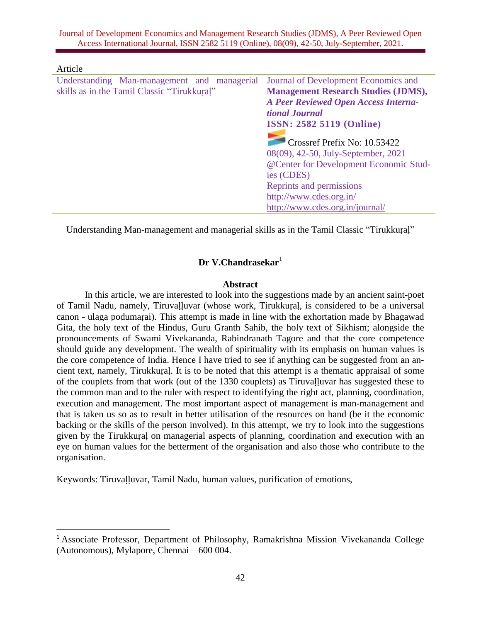Journal of Development Economics and Management Research Studies (JDMS), A Peer Reviewed Open Access International Journal, ISSN 2582 5119 (Online), 08(09), 42-50, July-September, 2021.

| Article                                     |                                             |
|---------------------------------------------|---------------------------------------------|
| Understanding Man-management and managerial | Journal of Development Economics and        |
| skills as in the Tamil Classic "Tirukkural" | <b>Management Research Studies (JDMS),</b>  |
|                                             | <b>A Peer Reviewed Open Access Interna-</b> |
|                                             | tional Journal                              |
|                                             | <b>ISSN: 2582 5119 (Online)</b>             |
|                                             | Crossref Prefix No: 10.53422                |
|                                             |                                             |
|                                             | 08(09), 42-50, July-September, 2021         |
|                                             | @Center for Development Economic Stud-      |
|                                             | ies (CDES)                                  |
|                                             | Reprints and permissions                    |
|                                             | http://www.cdes.org.in/                     |
|                                             | http://www.cdes.org.in/journal/             |

Understanding Man-management and managerial skills as in the Tamil Classic "Tirukkuṛaḷ"

# **Dr V.Chandrasekar**<sup>1</sup>

#### **Abstract**

In this article, we are interested to look into the suggestions made by an ancient saint-poet of Tamil Nadu, namely, Tiruvaḷḷuvar (whose work, Tirukkuṛaḷ, is considered to be a universal canon - ulaga podumaṛai). This attempt is made in line with the exhortation made by Bhagawad Gita, the holy text of the Hindus, Guru Granth Sahib, the holy text of Sikhism; alongside the pronouncements of Swami Vivekananda, Rabindranath Tagore and that the core competence should guide any development. The wealth of spirituality with its emphasis on human values is the core competence of India. Hence I have tried to see if anything can be suggested from an ancient text, namely, Tirukkuṛaḷ. It is to be noted that this attempt is a thematic appraisal of some of the couplets from that work (out of the 1330 couplets) as Tiruvaḷḷuvar has suggested these to the common man and to the ruler with respect to identifying the right act, planning, coordination, execution and management. The most important aspect of management is man-management and that is taken us so as to result in better utilisation of the resources on hand (be it the economic backing or the skills of the person involved). In this attempt, we try to look into the suggestions given by the Tirukkuṛaḷ on managerial aspects of planning, coordination and execution with an eye on human values for the betterment of the organisation and also those who contribute to the organisation.

Keywords: Tiruvaḷḷuvar, Tamil Nadu, human values, purification of emotions,

 $\overline{a}$ 

<sup>&</sup>lt;sup>1</sup> Associate Professor, Department of Philosophy, Ramakrishna Mission Vivekananda College (Autonomous), Mylapore, Chennai – 600 004.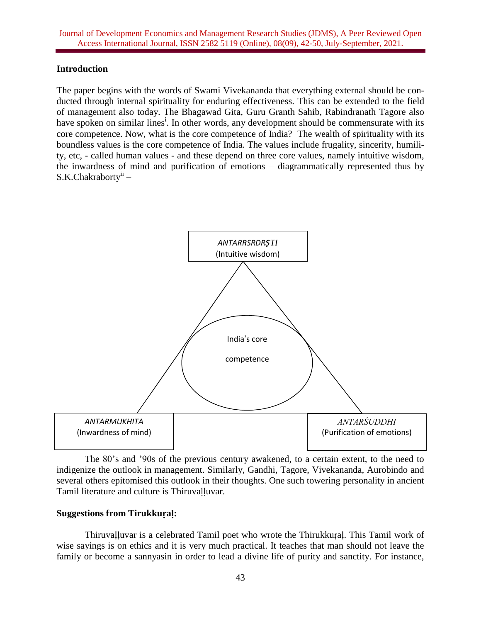#### **Introduction**

The paper begins with the words of Swami Vivekananda that everything external should be conducted through internal spirituality for enduring effectiveness. This can be extended to the field of management also today. The Bhagawad Gita, Guru Granth Sahib, Rabindranath Tagore also have spoken on similar lines<sup>i</sup>. In other words, any development should be commensurate with its core competence. Now, what is the core competence of India? The wealth of spirituality with its boundless values is the core competence of India. The values include frugality, sincerity, humility, etc, - called human values - and these depend on three core values, namely intuitive wisdom, the inwardness of mind and purification of emotions – diagrammatically represented thus by S.K.Chakraborty<sup>ii</sup> –



The 80's and '90s of the previous century awakened, to a certain extent, to the need to indigenize the outlook in management. Similarly, Gandhi, Tagore, Vivekananda, Aurobindo and several others epitomised this outlook in their thoughts. One such towering personality in ancient Tamil literature and culture is Thiruvalluvar.

#### **Suggestions from Tirukkuṛaḷ:**

Thiruvaḷḷuvar is a celebrated Tamil poet who wrote the Thirukkuṛaḷ. This Tamil work of wise sayings is on ethics and it is very much practical. It teaches that man should not leave the family or become a sannyasin in order to lead a divine life of purity and sanctity. For instance,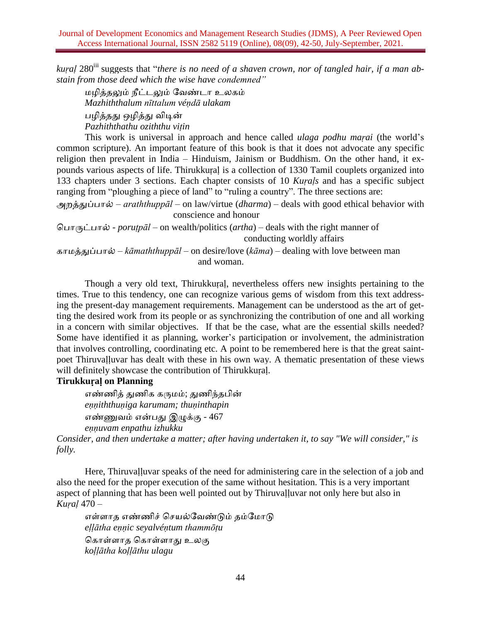*kural* 280<sup>iii</sup> suggests that "*there is no need of a shaven crown, nor of tangled hair, if a man abstain from those deed which the wise have condemned"*

மழித்தலும் நீட்டலும் வேண்டா உலகம் *Mazhiththalum nīttalum véṇdā ulakam* பழித்தது ஒழித்து விடின் *Pazhiththathu oziththu viṭin*

This work is universal in approach and hence called *ulaga podhu maṛai* (the world's common scripture). An important feature of this book is that it does not advocate any specific religion then prevalent in India – Hinduism, Jainism or Buddhism. On the other hand, it expounds various aspects of life. Thirukkuṛaḷ is a collection of 1330 Tamil couplets organized into 133 chapters under 3 sections. Each chapter consists of 10 *Kuṛaḷs* and has a specific subject ranging from "ploughing a piece of land" to "ruling a country". The three sections are:

அறத்துப்பால் – *araththuppāl* – on law/virtue (*dharma*) – deals with good ethical behavior with conscience and honour

பபாருட்பால் - *poruṭpāl* – on wealth/politics (*artha*) – deals with the right manner of conducting worldly affairs

காமத்துப்பால் – *kāmaththuppāl* – on desire/love (*kāma*) – dealing with love between man and woman.

Though a very old text, Thirukkuṛaḷ, nevertheless offers new insights pertaining to the times. True to this tendency, one can recognize various gems of wisdom from this text addressing the present-day management requirements. Management can be understood as the art of getting the desired work from its people or as synchronizing the contribution of one and all working in a concern with similar objectives. If that be the case, what are the essential skills needed? Some have identified it as planning, worker's participation or involvement, the administration that involves controlling, coordinating etc. A point to be remembered here is that the great saintpoet Thiruvaḷḷuvar has dealt with these in his own way. A thematic presentation of these views will definitely showcase the contribution of Thirukkuṛaḷ.

# **Tirukkuṛaḷ on Planning**

எண்ணித் துணிக கருமம்; துணிந்தபின் *eṇṇiththuṇiga karumam; thuṇinthapin* எண்ணுேம் என்பது இழுக்கு - 467 *eṇṇuvam enpathu izhukku*

*Consider, and then undertake a matter; after having undertaken it, to say "We will consider," is folly.*

Here, Thiruvalluvar speaks of the need for administering care in the selection of a job and also the need for the proper execution of the same without hesitation. This is a very important aspect of planning that has been well pointed out by Thiruvaḷḷuvar not only here but also in *Kuṛaḷ* 470 –

எள்ளாத எண்ணிச் செயல்வேண்டும் தம்மோடு *eḷḷātha eṇṇic seyalvéṇtum thammōṭu* பகாள்ளாத பகாள்ளாது உலகு *koḷḷātha koḷḷāthu ulagu*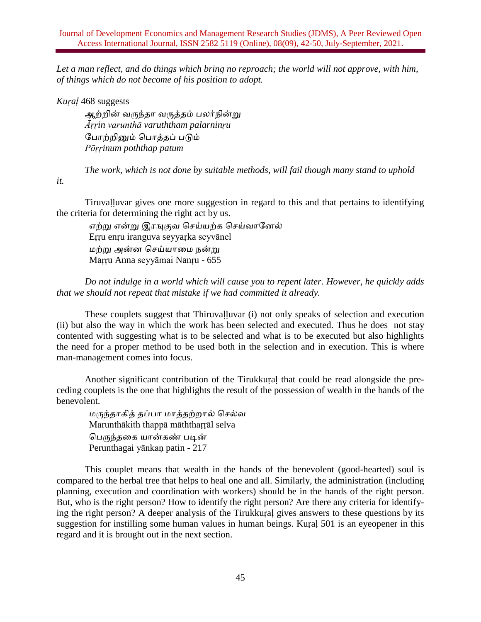*Let a man reflect, and do things which bring no reproach; the world will not approve, with him, of things which do not become of his position to adopt.*

*Kuṛaḷ* 468 suggests

*it.*

ஆற்றின் வருந்தா வருத்தம் பலர்நின்று *Āṛṛin varunthā varuththam palarninṛu* வபாற்றினும் பபாத்தப் படும் *Pōṛṛinum poththap patum*

*The work, which is not done by suitable methods, will fail though many stand to uphold*

Tiruvaḷḷuvar gives one more suggestion in regard to this and that pertains to identifying the criteria for determining the right act by us.

எற்று என்று இரஙுகுவ செய்யற்க செய்வானேல் Eṛṛu enṛu iranguva seyyaṛka seyvānel மற்று அன்ன செய்யாமை நன்று Maṛṛu Anna seyyāmai Nanṛu - 655

*Do not indulge in a world which will cause you to repent later. However, he quickly adds that we should not repeat that mistake if we had committed it already.*

These couplets suggest that Thiruvalluvar (i) not only speaks of selection and execution (ii) but also the way in which the work has been selected and executed. Thus he does not stay contented with suggesting what is to be selected and what is to be executed but also highlights the need for a proper method to be used both in the selection and in execution. This is where man-management comes into focus.

Another significant contribution of the Tirukkuṛaḷ that could be read alongside the preceding couplets is the one that highlights the result of the possession of wealth in the hands of the benevolent.

மருந்தாகித் தப்பா மாத்தற்றால் செல்வ Marunthākith thappā māththaṛṛāl selva பபருந்தமக யான்கண் படின் Perunthagai yānkaṇ patin - 217

This couplet means that wealth in the hands of the benevolent (good-hearted) soul is compared to the herbal tree that helps to heal one and all. Similarly, the administration (including planning, execution and coordination with workers) should be in the hands of the right person. But, who is the right person? How to identify the right person? Are there any criteria for identifying the right person? A deeper analysis of the Tirukkuṛaḷ gives answers to these questions by its suggestion for instilling some human values in human beings. Kuṛaḷ 501 is an eyeopener in this regard and it is brought out in the next section.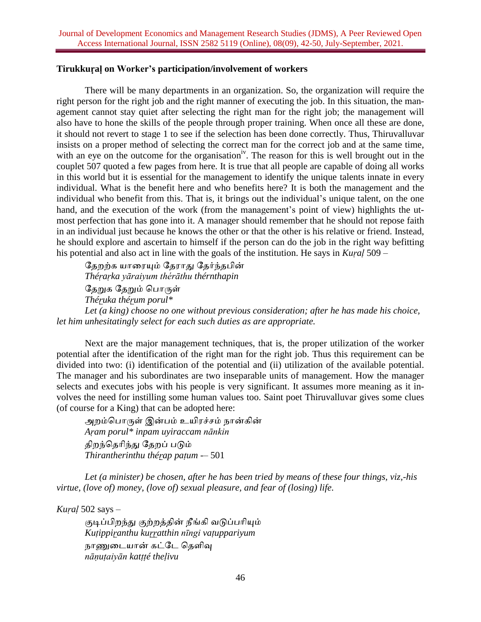#### **Tirukkuṛaḷ on Worker's participation/involvement of workers**

There will be many departments in an organization. So, the organization will require the right person for the right job and the right manner of executing the job. In this situation, the management cannot stay quiet after selecting the right man for the right job; the management will also have to hone the skills of the people through proper training. When once all these are done, it should not revert to stage 1 to see if the selection has been done correctly. Thus, Thiruvalluvar insists on a proper method of selecting the correct man for the correct job and at the same time, with an eye on the outcome for the organisation<sup>iv</sup>. The reason for this is well brought out in the couplet 507 quoted a few pages from here. It is true that all people are capable of doing all works in this world but it is essential for the management to identify the unique talents innate in every individual. What is the benefit here and who benefits here? It is both the management and the individual who benefit from this. That is, it brings out the individual's unique talent, on the one hand, and the execution of the work (from the management's point of view) highlights the utmost perfection that has gone into it. A manager should remember that he should not repose faith in an individual just because he knows the other or that the other is his relative or friend. Instead, he should explore and ascertain to himself if the person can do the job in the right way befitting his potential and also act in line with the goals of the institution. He says in *Kuṛaḷ* 509 –

தேறற்க யாரையும் தேராது தேர்ந்தபின் *Théṛaṛka yāraiyum thérāthu thérnthapin* தேறுக தேறும் பொருள் *Théṛuka théṛum porul\* Let (a king) choose no one without previous consideration; after he has made his choice, let him unhesitatingly select for each such duties as are appropriate.*

Next are the major management techniques, that is, the proper utilization of the worker potential after the identification of the right man for the right job. Thus this requirement can be divided into two: (i) identification of the potential and (ii) utilization of the available potential. The manager and his subordinates are two inseparable units of management. How the manager selects and executes jobs with his people is very significant. It assumes more meaning as it involves the need for instilling some human values too. Saint poet Thiruvalluvar gives some clues (of course for a King) that can be adopted here:

அறம்பபாருள் இன்பம் உயிரச்ெம் நான்கின் *Aṛam porul\* inpam uyiraccam nānkin* திறந்பதாிந்து வதறப் படும் *Thirantherinthu théṛap paṭum -*– 501

*Let (a minister) be chosen, after he has been tried by means of these four things, viz,-his virtue, (love of) money, (love of) sexual pleasure, and fear of (losing) life.*

*Kuṛaḷ* 502 says –

குடிப்பிறந்து குற்றத்தின் நீங்கி வடுப்பரியும் *Kuṭippiṛanthu kuṛṛatthin nīngi vaṭuppariyum* நாணுமடயான் கட்வட பதளிவு *nāṇuṭaiyān katṭṭé theḷivu*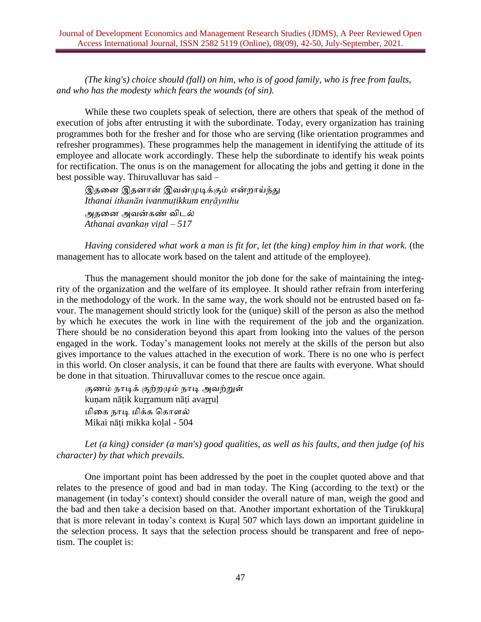*(The king's) choice should (fall) on him, who is of good family, who is free from faults, and who has the modesty which fears the wounds (of sin).*

While these two couplets speak of selection, there are others that speak of the method of execution of jobs after entrusting it with the subordinate. Today, every organization has training programmes both for the fresher and for those who are serving (like orientation programmes and refresher programmes). These programmes help the management in identifying the attitude of its employee and allocate work accordingly. These help the subordinate to identify his weak points for rectification. The onus is on the management for allocating the jobs and getting it done in the best possible way. Thiruvalluvar has said –

இதனை இதனான் இவன்முடிக்கும் என்றாய்ந்து *Ithanai ithanān ivanmuṭikkum enṛāynthu* அதனை அவன்கண் விடல் *Athanai avankaṇ viṭal – 517*

*Having considered what work a man is fit for, let (the king) employ him in that work.* (the management has to allocate work based on the talent and attitude of the employee).

Thus the management should monitor the job done for the sake of maintaining the integrity of the organization and the welfare of its employee. It should rather refrain from interfering in the methodology of the work. In the same way, the work should not be entrusted based on favour. The management should strictly look for the (unique) skill of the person as also the method by which he executes the work in line with the requirement of the job and the organization. There should be no consideration beyond this apart from looking into the values of the person engaged in the work. Today's management looks not merely at the skills of the person but also gives importance to the values attached in the execution of work. There is no one who is perfect in this world. On closer analysis, it can be found that there are faults with everyone. What should be done in that situation. Thiruvalluvar comes to the rescue once again.

குணம் நாடிக் குற்றமும் நாடி அேற்றுள் kunam nātik kurramum nāti avarrul மிமக நாடி மிக்க பகாளல் Mikai nāṭi mikka koḷal - 504

*Let (a king) consider (a man's) good qualities, as well as his faults, and then judge (of his character) by that which prevails.*

One important point has been addressed by the poet in the couplet quoted above and that relates to the presence of good and bad in man today. The King (according to the text) or the management (in today's context) should consider the overall nature of man, weigh the good and the bad and then take a decision based on that. Another important exhortation of the Tirukkuṛaḷ that is more relevant in today's context is Kuṛaḷ 507 which lays down an important guideline in the selection process. It says that the selection process should be transparent and free of nepotism. The couplet is: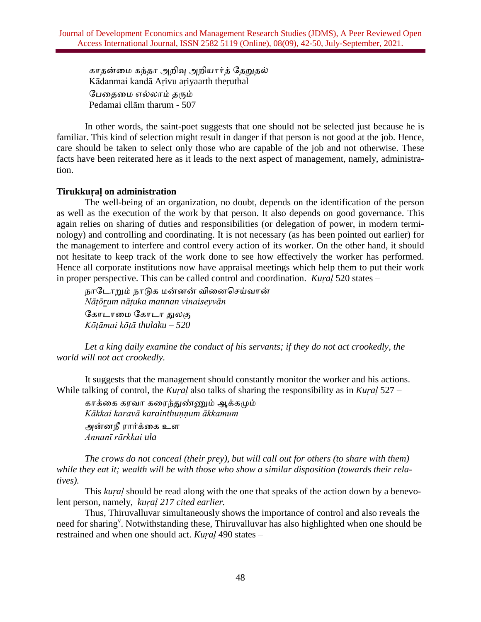காதன்மம கந்தா அறிவு அறியார்த் வதறுதல் Kādanmai kandā Aṛivu aṛiyaarth theṛuthal வபமதமம எல்லாம் தரும் Pedamai ellām tharum - 507

In other words, the saint-poet suggests that one should not be selected just because he is familiar. This kind of selection might result in danger if that person is not good at the job. Hence, care should be taken to select only those who are capable of the job and not otherwise. These facts have been reiterated here as it leads to the next aspect of management, namely, administration.

### **Tirukkuṛaḷ on administration**

The well-being of an organization, no doubt, depends on the identification of the person as well as the execution of the work by that person. It also depends on good governance. This again relies on sharing of duties and responsibilities (or delegation of power, in modern terminology) and controlling and coordinating. It is not necessary (as has been pointed out earlier) for the management to interfere and control every action of its worker. On the other hand, it should not hesitate to keep track of the work done to see how effectively the worker has performed. Hence all corporate institutions now have appraisal meetings which help them to put their work in proper perspective. This can be called control and coordination. *Kuṛaḷ* 520 states –

நாடோறும் நாடுக மன்னன் வினைசெய்வான் *Nāṭōrum nāṭuka mannan vinaiseyvān* வகாடாமம வகாடா துலகு *Kōṭāmai kōṭā thulaku – 520*

*Let a king daily examine the conduct of his servants; if they do not act crookedly, the world will not act crookedly.*

It suggests that the management should constantly monitor the worker and his actions. While talking of control, the *Kuṛaḷ* also talks of sharing the responsibility as in *Kuṛaḷ* 527 –

காக்கை கரவா கரைந்துண்ணும் ஆக்கமும் *Kākkai karavā karainthuṇṇum ākkamum* அன்ேநீ ரார்க்மக உள *Annanī rārkkai ula*

*The crows do not conceal (their prey), but will call out for others (to share with them) while they eat it; wealth will be with those who show a similar disposition (towards their relatives).*

This *kuṛaḷ* should be read along with the one that speaks of the action down by a benevolent person, namely, *kuṛaḷ 217 cited earlier.*

Thus, Thiruvalluvar simultaneously shows the importance of control and also reveals the need for sharing<sup>v</sup>. Notwithstanding these, Thiruvalluvar has also highlighted when one should be restrained and when one should act. *Kuṛaḷ* 490 states –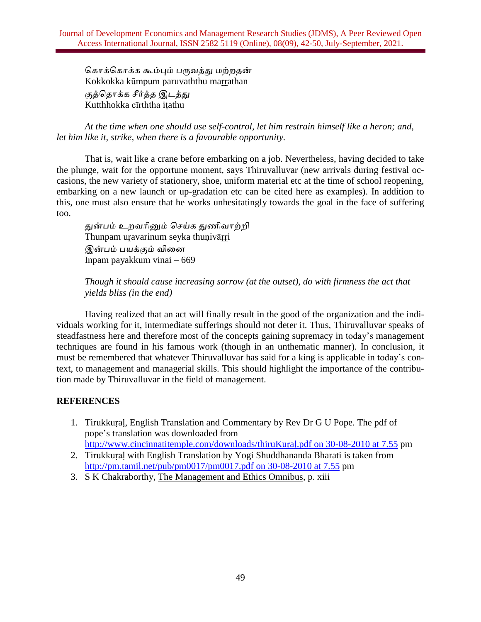கொக்கொக்க கூம்பும் பருவத்து மற்றதன் Kokkokka kūmpum paruvaththu maṛṛathan குத்பதாக்க ெீர்த்த இடத்து Kutthhokka cīrththa iṭathu

*At the time when one should use self-control, let him restrain himself like a heron; and, let him like it, strike, when there is a favourable opportunity.*

That is, wait like a crane before embarking on a job. Nevertheless, having decided to take the plunge, wait for the opportune moment, says Thiruvalluvar (new arrivals during festival occasions, the new variety of stationery, shoe, uniform material etc at the time of school reopening, embarking on a new launch or up-gradation etc can be cited here as examples). In addition to this, one must also ensure that he works unhesitatingly towards the goal in the face of suffering too.

துன்பம் உறோினும் பெய்க துணிோற்றி Thunpam uravarinum seyka thunivārri இன்பம் பயக்கும் வினை Inpam payakkum vinai – 669

*Though it should cause increasing sorrow (at the outset), do with firmness the act that yields bliss (in the end)*

Having realized that an act will finally result in the good of the organization and the individuals working for it, intermediate sufferings should not deter it. Thus, Thiruvalluvar speaks of steadfastness here and therefore most of the concepts gaining supremacy in today's management techniques are found in his famous work (though in an unthematic manner). In conclusion, it must be remembered that whatever Thiruvalluvar has said for a king is applicable in today's context, to management and managerial skills. This should highlight the importance of the contribution made by Thiruvalluvar in the field of management.

# **REFERENCES**

- 1. Tirukkuṛaḷ, English Translation and Commentary by Rev Dr G U Pope. The pdf of pope's translation was downloaded from [http://www.cincinnatitemple.com/downloads/thiruKuṛaḷ.pdf](http://www.cincinnatitemple.com/downloads/thirukural.pdf%25252525252525252520on%2525252525252525252030-08-2010%25252525252525252520at%252525252525252525207.55) on 30-08-2010 at 7.55 pm
- 2. Tirukkuṛaḷ with English Translation by Yogi Shuddhananda Bharati is taken from [http://pm.tamil.net/pub/pm0017/pm0017.pdf](http://pm.tamil.net/pub/pm0017/pm0017.pdf%25252525252525252520on%2525252525252525252030-08-2010%25252525252525252520at%252525252525252525207.55) on 30-08-2010 at 7.55 pm
- 3. S K Chakraborthy, The Management and Ethics Omnibus, p. xiii